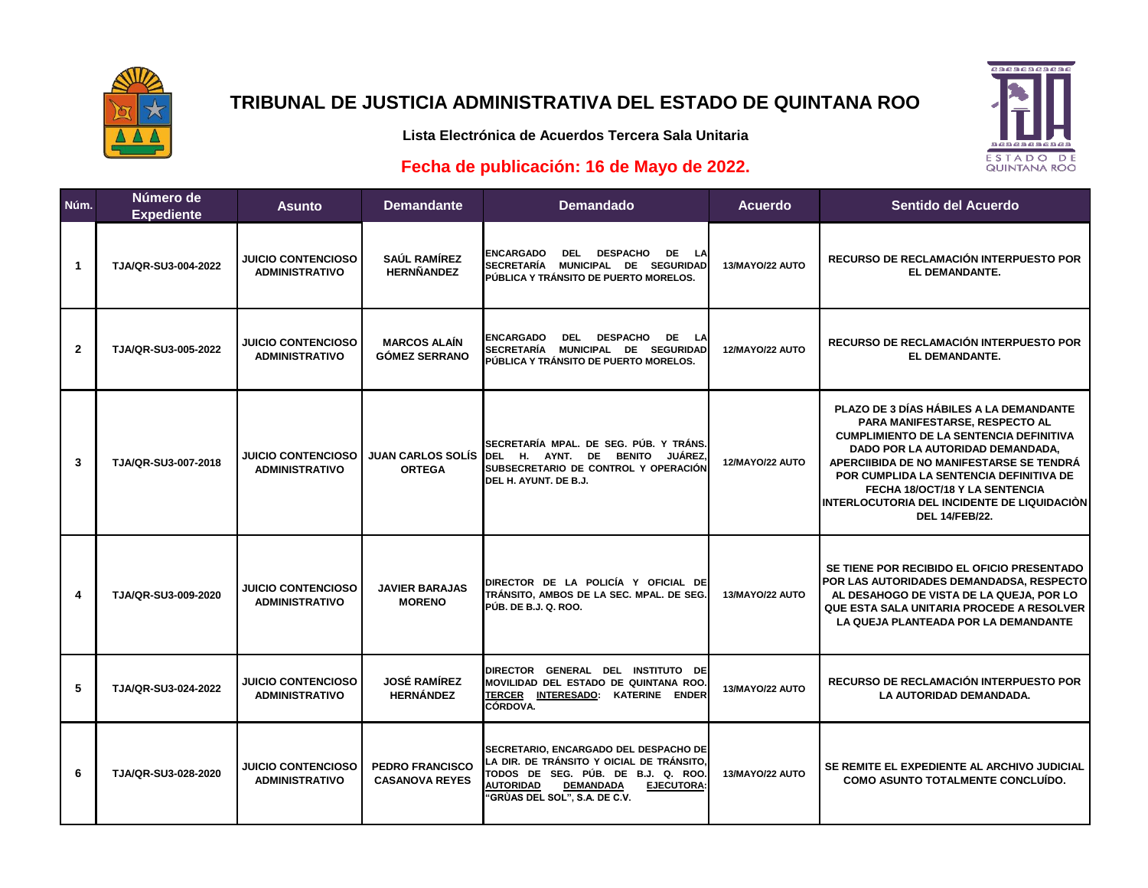

# **TRIBUNAL DE JUSTICIA ADMINISTRATIVA DEL ESTADO DE QUINTANA ROO**

**CACACACACAC** 

ESTADO DE<br>QUINTANA ROO

### **Lista Electrónica de Acuerdos Tercera Sala Unitaria**

### **Fecha de publicación: 16 de Mayo de 2022.**

| Núm.                    | Número de<br><b>Expediente</b> | <b>Asunto</b>                                      | <b>Demandante</b>                               | <b>Demandado</b>                                                                                                                                                                                                       | <b>Acuerdo</b>  | Sentido del Acuerdo                                                                                                                                                                                                                                                                                                                                              |
|-------------------------|--------------------------------|----------------------------------------------------|-------------------------------------------------|------------------------------------------------------------------------------------------------------------------------------------------------------------------------------------------------------------------------|-----------------|------------------------------------------------------------------------------------------------------------------------------------------------------------------------------------------------------------------------------------------------------------------------------------------------------------------------------------------------------------------|
| $\mathbf{1}$            | TJA/QR-SU3-004-2022            | <b>JUICIO CONTENCIOSO</b><br><b>ADMINISTRATIVO</b> | <b>SAÚL RAMÍREZ</b><br><b>HERNÑANDEZ</b>        | <b>ENCARGADO</b><br><b>DEL</b><br><b>DESPACHO</b><br>DE LA<br>SECRETARÍA MUNICIPAL DE SEGURIDAD<br>PÚBLICA Y TRÁNSITO DE PUERTO MORELOS.                                                                               | 13/MAYO/22 AUTO | RECURSO DE RECLAMACIÓN INTERPUESTO POR<br>EL DEMANDANTE.                                                                                                                                                                                                                                                                                                         |
| $\overline{2}$          | TJA/QR-SU3-005-2022            | <b>JUICIO CONTENCIOSO</b><br><b>ADMINISTRATIVO</b> | <b>MARCOS ALAÍN</b><br><b>GÓMEZ SERRANO</b>     | <b>DESPACHO</b><br>DE LA<br><b>ENCARGADO</b><br><b>DEL</b><br>SECRETARÍA MUNICIPAL DE SEGURIDAD<br>PÚBLICA Y TRÁNSITO DE PUERTO MORELOS.                                                                               | 12/MAYO/22 AUTO | RECURSO DE RECLAMACIÓN INTERPUESTO POR<br>EL DEMANDANTE.                                                                                                                                                                                                                                                                                                         |
| 3                       | TJA/QR-SU3-007-2018            | <b>JUICIO CONTENCIOSO</b><br><b>ADMINISTRATIVO</b> | <b>JUAN CARLOS SOLÍS</b><br><b>ORTEGA</b>       | SECRETARÍA MPAL. DE SEG. PÚB. Y TRÁNS.<br>DEL H. AYNT. DE BENITO<br><b>JUÁREZ</b><br>SUBSECRETARIO DE CONTROL Y OPERACIÓN<br>DEL H. AYUNT. DE B.J.                                                                     | 12/MAYO/22 AUTO | PLAZO DE 3 DÍAS HÁBILES A LA DEMANDANTE<br>PARA MANIFESTARSE, RESPECTO AL<br><b>CUMPLIMIENTO DE LA SENTENCIA DEFINITIVA</b><br>DADO POR LA AUTORIDAD DEMANDADA,<br>APERCIIBIDA DE NO MANIFESTARSE SE TENDRÀ<br>POR CUMPLIDA LA SENTENCIA DEFINITIVA DE<br>FECHA 18/OCT/18 Y LA SENTENCIA<br>INTERLOCUTORIA DEL INCIDENTE DE LIQUIDACIÒN<br><b>DEL 14/FEB/22.</b> |
| $\overline{\mathbf{4}}$ | TJA/QR-SU3-009-2020            | <b>JUICIO CONTENCIOSO</b><br><b>ADMINISTRATIVO</b> | <b>JAVIER BARAJAS</b><br><b>MORENO</b>          | DIRECTOR DE LA POLICÍA Y OFICIAL DE<br>TRÁNSITO, AMBOS DE LA SEC. MPAL. DE SEG.<br>PÚB. DE B.J. Q. ROO.                                                                                                                | 13/MAYO/22 AUTO | SE TIENE POR RECIBIDO EL OFICIO PRESENTADO<br>POR LAS AUTORIDADES DEMANDADSA, RESPECTO<br>AL DESAHOGO DE VISTA DE LA QUEJA, POR LO<br>QUE ESTA SALA UNITARIA PROCEDE A RESOLVER<br>LA QUEJA PLANTEADA POR LA DEMANDANTE                                                                                                                                          |
| 5                       | TJA/QR-SU3-024-2022            | <b>JUICIO CONTENCIOSO</b><br><b>ADMINISTRATIVO</b> | <b>JOSÉ RAMÍREZ</b><br><b>HERNÁNDEZ</b>         | DIRECTOR GENERAL DEL INSTITUTO DE<br>MOVILIDAD DEL ESTADO DE QUINTANA ROO.<br>TERCER INTERESADO: KATERINE ENDER<br>CÓRDOVA.                                                                                            | 13/MAYO/22 AUTO | <b>RECURSO DE RECLAMACIÓN INTERPUESTO POR</b><br>LA AUTORIDAD DEMANDADA.                                                                                                                                                                                                                                                                                         |
| 6                       | TJA/QR-SU3-028-2020            | <b>JUICIO CONTENCIOSO</b><br><b>ADMINISTRATIVO</b> | <b>PEDRO FRANCISCO</b><br><b>CASANOVA REYES</b> | SECRETARIO, ENCARGADO DEL DESPACHO DE<br>LA DIR. DE TRÁNSITO Y OICIAL DE TRÁNSITO,<br>TODOS DE SEG. PÚB. DE B.J. Q. ROO.<br><b>AUTORIDAD</b><br><b>DEMANDADA</b><br><b>EJECUTORA:</b><br>'GRÙAS DEL SOL", S.A. DE C.V. | 13/MAYO/22 AUTO | SE REMITE EL EXPEDIENTE AL ARCHIVO JUDICIAL<br><b>COMO ASUNTO TOTALMENTE CONCLUIDO.</b>                                                                                                                                                                                                                                                                          |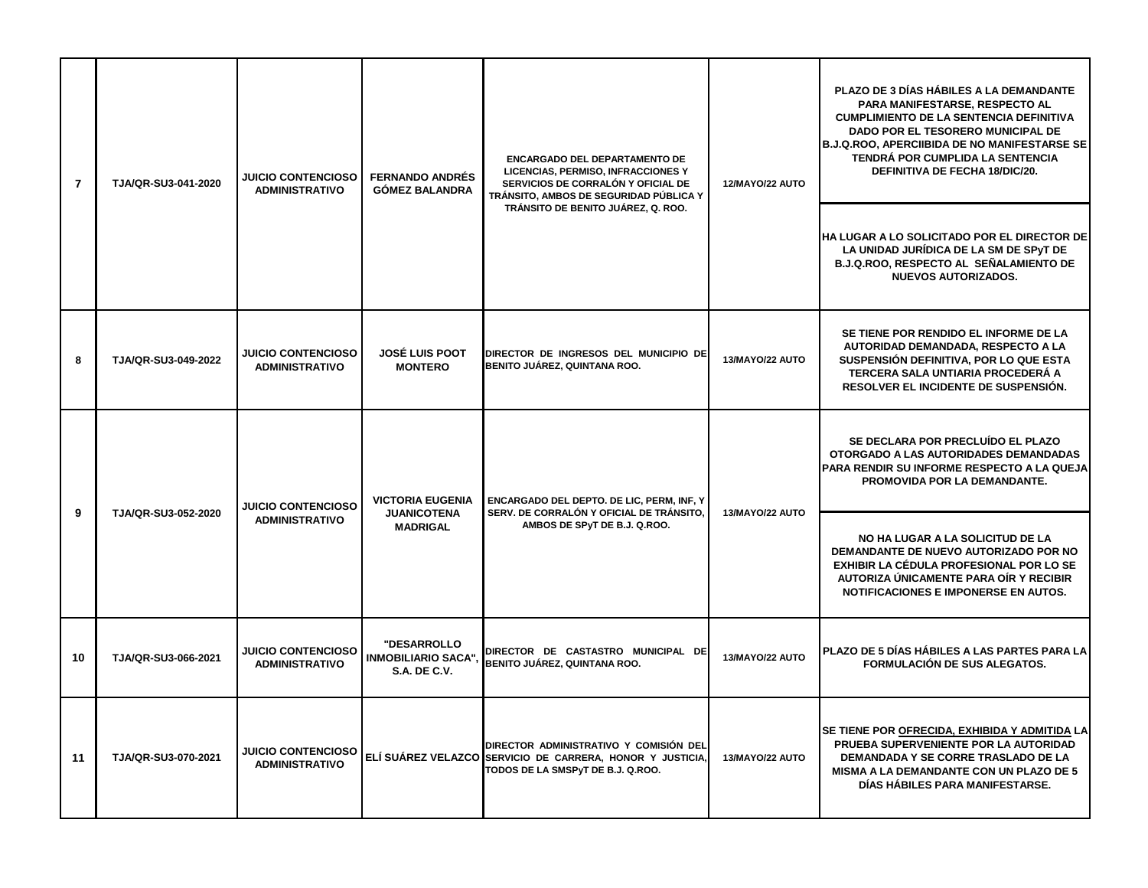| $\overline{7}$ | TJA/QR-SU3-041-2020 | <b>JUICIO CONTENCIOSO</b><br><b>ADMINISTRATIVO</b> | <b>FERNANDO ANDRÉS</b><br><b>GÓMEZ BALANDRA</b>                  | ENCARGADO DEL DEPARTAMENTO DE<br>LICENCIAS, PERMISO, INFRACCIONES Y<br>SERVICIOS DE CORRALÓN Y OFICIAL DE<br>TRÁNSITO, AMBOS DE SEGURIDAD PÚBLICA Y<br>TRÁNSITO DE BENITO JUÁREZ, Q. ROO. | 12/MAYO/22 AUTO | <b>PLAZO DE 3 DÍAS HÁBILES A LA DEMANDANTE</b><br>PARA MANIFESTARSE, RESPECTO AL<br><b>CUMPLIMIENTO DE LA SENTENCIA DEFINITIVA</b><br>DADO POR EL TESORERO MUNICIPAL DE<br><b>B.J.Q.ROO, APERCIIBIDA DE NO MANIFESTARSE SE</b><br>TENDRÁ POR CUMPLIDA LA SENTENCIA<br><b>DEFINITIVA DE FECHA 18/DIC/20.</b><br>HA LUGAR A LO SOLICITADO POR EL DIRECTOR DE<br>LA UNIDAD JURÍDICA DE LA SM DE SPYT DE<br><b>B.J.Q.ROO, RESPECTO AL SEÑALAMIENTO DE</b><br><b>NUEVOS AUTORIZADOS.</b> |
|----------------|---------------------|----------------------------------------------------|------------------------------------------------------------------|-------------------------------------------------------------------------------------------------------------------------------------------------------------------------------------------|-----------------|-------------------------------------------------------------------------------------------------------------------------------------------------------------------------------------------------------------------------------------------------------------------------------------------------------------------------------------------------------------------------------------------------------------------------------------------------------------------------------------|
| 8              | TJA/QR-SU3-049-2022 | <b>JUICIO CONTENCIOSO</b><br><b>ADMINISTRATIVO</b> | <b>JOSÉ LUIS POOT</b><br><b>MONTERO</b>                          | DIRECTOR DE INGRESOS DEL MUNICIPIO DE<br>BENITO JUÁREZ, QUINTANA ROO.                                                                                                                     | 13/MAYO/22 AUTO | SE TIENE POR RENDIDO EL INFORME DE LA<br>AUTORIDAD DEMANDADA, RESPECTO A LA<br>SUSPENSIÓN DEFINITIVA, POR LO QUE ESTA<br>TERCERA SALA UNTIARIA PROCEDERÁ A<br>RESOLVER EL INCIDENTE DE SUSPENSIÓN.                                                                                                                                                                                                                                                                                  |
| 9              | TJA/QR-SU3-052-2020 | <b>JUICIO CONTENCIOSO</b><br><b>ADMINISTRATIVO</b> | <b>VICTORIA EUGENIA</b><br><b>JUANICOTENA</b><br><b>MADRIGAL</b> | ENCARGADO DEL DEPTO. DE LIC, PERM, INF, Y<br>SERV. DE CORRALÓN Y OFICIAL DE TRÁNSITO,<br>AMBOS DE SPyT DE B.J. Q.ROO.                                                                     | 13/MAYO/22 AUTO | SE DECLARA POR PRECLUÍDO EL PLAZO<br>OTORGADO A LAS AUTORIDADES DEMANDADAS<br>PARA RENDIR SU INFORME RESPECTO A LA QUEJA<br><b>PROMOVIDA POR LA DEMANDANTE.</b>                                                                                                                                                                                                                                                                                                                     |
|                |                     |                                                    |                                                                  |                                                                                                                                                                                           |                 | NO HA LUGAR A LA SOLICITUD DE LA<br>DEMANDANTE DE NUEVO AUTORIZADO POR NO<br>EXHIBIR LA CÉDULA PROFESIONAL POR LO SE<br>AUTORIZA ÚNICAMENTE PARA OÍR Y RECIBIR<br><b>NOTIFICACIONES E IMPONERSE EN AUTOS.</b>                                                                                                                                                                                                                                                                       |
| 10             | TJA/QR-SU3-066-2021 | <b>JUICIO CONTENCIOSO</b><br><b>ADMINISTRATIVO</b> | "DESARROLLO<br><b>INMOBILIARIO SACA",</b><br><b>S.A. DE C.V.</b> | DIRECTOR DE CASTASTRO MUNICIPAL DE<br>BENITO JUÁREZ, QUINTANA ROO.                                                                                                                        | 13/MAYO/22 AUTO | PLAZO DE 5 DÍAS HÁBILES A LAS PARTES PARA LA<br><b>FORMULACIÓN DE SUS ALEGATOS.</b>                                                                                                                                                                                                                                                                                                                                                                                                 |
| 11             | TJA/QR-SU3-070-2021 | <b>JUICIO CONTENCIOSO</b><br><b>ADMINISTRATIVO</b> |                                                                  | DIRECTOR ADMINISTRATIVO Y COMISIÓN DEL<br>ELÍ SUÁREZ VELAZCO SERVICIO DE CARRERA, HONOR Y JUSTICIA,<br>TODOS DE LA SMSPyT DE B.J. Q.ROO.                                                  | 13/MAYO/22 AUTO | SE TIENE POR OFRECIDA, EXHIBIDA Y ADMITIDA LA<br>PRUEBA SUPERVENIENTE POR LA AUTORIDAD<br>DEMANDADA Y SE CORRE TRASLADO DE LA<br>MISMA A LA DEMANDANTE CON UN PLAZO DE 5<br>DÍAS HÁBILES PARA MANIFESTARSE.                                                                                                                                                                                                                                                                         |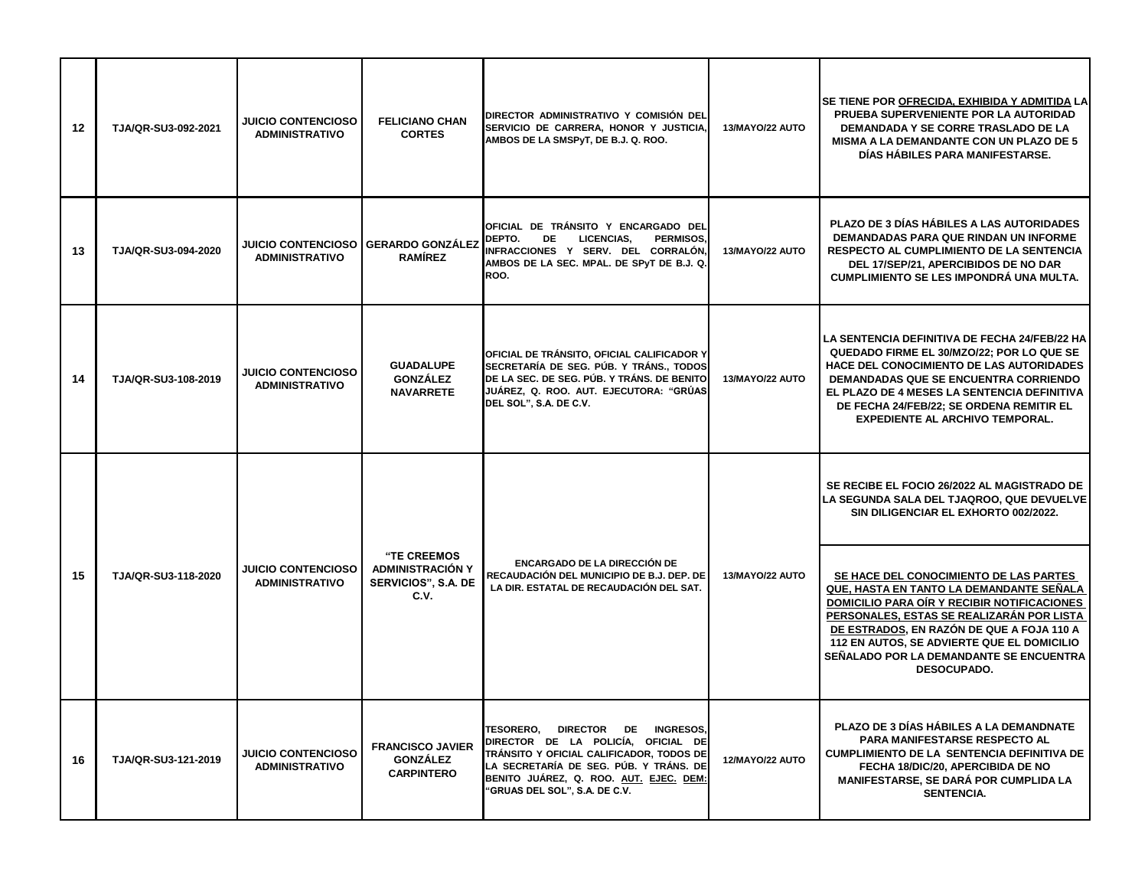| 12 | TJA/QR-SU3-092-2021 | <b>JUICIO CONTENCIOSO</b><br><b>ADMINISTRATIVO</b>           | <b>FELICIANO CHAN</b><br><b>CORTES</b>                                              | DIRECTOR ADMINISTRATIVO Y COMISIÓN DEL<br>SERVICIO DE CARRERA, HONOR Y JUSTICIA,<br>AMBOS DE LA SMSPyT, DE B.J. Q. ROO.                                                                                                                                    | 13/MAYO/22 AUTO | SE TIENE POR OFRECIDA, EXHIBIDA Y ADMITIDA LA<br>PRUEBA SUPERVENIENTE POR LA AUTORIDAD<br>DEMANDADA Y SE CORRE TRASLADO DE LA<br><b>MISMA A LA DEMANDANTE CON UN PLAZO DE 5</b><br>DÍAS HÁBILES PARA MANIFESTARSE.                                                                                                                                |
|----|---------------------|--------------------------------------------------------------|-------------------------------------------------------------------------------------|------------------------------------------------------------------------------------------------------------------------------------------------------------------------------------------------------------------------------------------------------------|-----------------|---------------------------------------------------------------------------------------------------------------------------------------------------------------------------------------------------------------------------------------------------------------------------------------------------------------------------------------------------|
| 13 | TJA/QR-SU3-094-2020 | JUICIO CONTENCIOSO GERARDO GONZÁLEZ<br><b>ADMINISTRATIVO</b> | <b>RAMÍREZ</b>                                                                      | OFICIAL DE TRÁNSITO Y ENCARGADO DEL<br>DEPTO.<br><b>LICENCIAS.</b><br><b>PERMISOS.</b><br><b>DE</b><br>INFRACCIONES Y SERV. DEL CORRALÓN,<br>AMBOS DE LA SEC. MPAL. DE SPyT DE B.J. Q.<br>ROO.                                                             | 13/MAYO/22 AUTO | PLAZO DE 3 DÍAS HÁBILES A LAS AUTORIDADES<br><b>DEMANDADAS PARA QUE RINDAN UN INFORME</b><br><b>RESPECTO AL CUMPLIMIENTO DE LA SENTENCIA</b><br>DEL 17/SEP/21, APERCIBIDOS DE NO DAR<br><b>CUMPLIMIENTO SE LES IMPONDRÁ UNA MULTA.</b>                                                                                                            |
| 14 | TJA/QR-SU3-108-2019 | <b>JUICIO CONTENCIOSO</b><br><b>ADMINISTRATIVO</b>           | <b>GUADALUPE</b><br><b>GONZÁLEZ</b><br><b>NAVARRETE</b>                             | OFICIAL DE TRÁNSITO, OFICIAL CALIFICADOR Y<br>SECRETARÍA DE SEG. PÚB. Y TRÁNS., TODOS<br>DE LA SEC. DE SEG. PÚB. Y TRÁNS. DE BENITO<br>JUÁREZ, Q. ROO, AUT, EJECUTORA: "GRÚAS<br>DEL SOL", S.A. DE C.V.                                                    | 13/MAYO/22 AUTO | LA SENTENCIA DEFINITIVA DE FECHA 24/FEB/22 HA<br>QUEDADO FIRME EL 30/MZO/22: POR LO QUE SE<br>HACE DEL CONOCIMIENTO DE LAS AUTORIDADES<br>DEMANDADAS QUE SE ENCUENTRA CORRIENDO<br>EL PLAZO DE 4 MESES LA SENTENCIA DEFINITIVA<br>DE FECHA 24/FEB/22; SE ORDENA REMITIR EL<br><b>EXPEDIENTE AL ARCHIVO TEMPORAL.</b>                              |
|    |                     |                                                              |                                                                                     |                                                                                                                                                                                                                                                            |                 | SE RECIBE EL FOCIO 26/2022 AL MAGISTRADO DE<br>LA SEGUNDA SALA DEL TJAQROO, QUE DEVUELVE<br>SIN DILIGENCIAR EL EXHORTO 002/2022.                                                                                                                                                                                                                  |
| 15 | TJA/QR-SU3-118-2020 | <b>JUICIO CONTENCIOSO</b><br><b>ADMINISTRATIVO</b>           | <b>"TE CREEMOS</b><br><b>ADMINISTRACIÓN Y</b><br><b>SERVICIOS", S.A. DE</b><br>C.V. | <b>ENCARGADO DE LA DIRECCIÓN DE</b><br>RECAUDACIÓN DEL MUNICIPIO DE B.J. DEP. DE<br>LA DIR. ESTATAL DE RECAUDACIÓN DEL SAT.                                                                                                                                | 13/MAYO/22 AUTO | SE HACE DEL CONOCIMIENTO DE LAS PARTES<br>QUE, HASTA EN TANTO LA DEMANDANTE SEÑALA<br><b>DOMICILIO PARA OIR Y RECIBIR NOTIFICACIONES</b><br>PERSONALES, ESTAS SE REALIZARÁN POR LISTA<br>DE ESTRADOS, EN RAZÓN DE QUE A FOJA 110 A<br>112 EN AUTOS, SE ADVIERTE QUE EL DOMICILIO<br>SEÑALADO POR LA DEMANDANTE SE ENCUENTRA<br><b>DESOCUPADO.</b> |
| 16 | TJA/QR-SU3-121-2019 | <b>JUICIO CONTENCIOSO</b><br><b>ADMINISTRATIVO</b>           | <b>FRANCISCO JAVIER</b><br><b>GONZÁLEZ</b><br><b>CARPINTERO</b>                     | <b>TESORERO.</b><br><b>DIRECTOR</b><br>DE INGRESOS.<br>DIRECTOR DE LA POLICÍA, OFICIAL DE<br>TRÁNSITO Y OFICIAL CALIFICADOR, TODOS DE<br>LA SECRETARÍA DE SEG. PÚB. Y TRÁNS. DE<br>BENITO JUÁREZ, Q. ROO. AUT. EJEC. DEM:<br>"GRUAS DEL SOL", S.A. DE C.V. | 12/MAYO/22 AUTO | PLAZO DE 3 DÍAS HÁBILES A LA DEMANDNATE<br>PARA MANIFESTARSE RESPECTO AL<br>CUMPLIMIENTO DE LA SENTENCIA DEFINITIVA DE<br>FECHA 18/DIC/20, APERCIBIDA DE NO<br><b>MANIFESTARSE, SE DARÁ POR CUMPLIDA LA</b><br><b>SENTENCIA.</b>                                                                                                                  |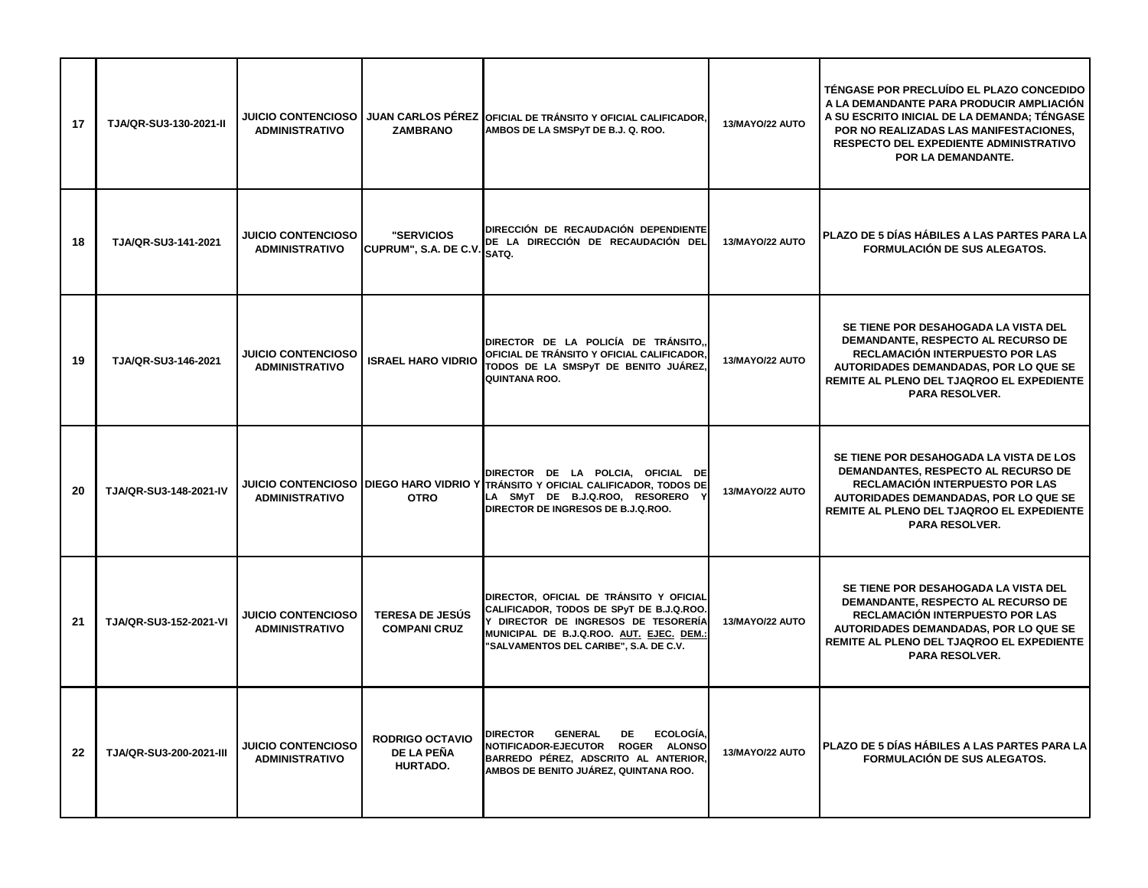| 17 | TJA/QR-SU3-130-2021-II  | <b>ADMINISTRATIVO</b>                              | <b>ZAMBRANO</b>                                  | JUICIO CONTENCIOSO JUAN CARLOS PÉREZ OFICIAL DE TRÁNSITO Y OFICIAL CALIFICADOR,<br>AMBOS DE LA SMSPyT DE B.J. Q. ROO.                                                                                            | 13/MAYO/22 AUTO | TÉNGASE POR PRECLUÍDO EL PLAZO CONCEDIDO<br>A LA DEMANDANTE PARA PRODUCIR AMPLIACIÓN<br>A SU ESCRITO INICIAL DE LA DEMANDA; TÊNGASE<br>POR NO REALIZADAS LAS MANIFESTACIONES.<br><b>RESPECTO DEL EXPEDIENTE ADMINISTRATIVO</b><br>POR LA DEMANDANTE. |
|----|-------------------------|----------------------------------------------------|--------------------------------------------------|------------------------------------------------------------------------------------------------------------------------------------------------------------------------------------------------------------------|-----------------|------------------------------------------------------------------------------------------------------------------------------------------------------------------------------------------------------------------------------------------------------|
| 18 | TJA/QR-SU3-141-2021     | <b>JUICIO CONTENCIOSO</b><br><b>ADMINISTRATIVO</b> | <b>"SERVICIOS</b><br>CUPRUM", S.A. DE C.V.       | DIRECCIÓN DE RECAUDACIÓN DEPENDIENTE<br>DE LA DIRECCIÓN DE RECAUDACIÓN DEL<br><b>I</b> SATQ.                                                                                                                     | 13/MAYO/22 AUTO | PLAZO DE 5 DÍAS HÁBILES A LAS PARTES PARA LA<br><b>FORMULACIÓN DE SUS ALEGATOS.</b>                                                                                                                                                                  |
| 19 | TJA/QR-SU3-146-2021     | <b>JUICIO CONTENCIOSO</b><br><b>ADMINISTRATIVO</b> | <b>ISRAEL HARO VIDRIO</b>                        | DIRECTOR DE LA POLICÍA DE TRÁNSITO<br>OFICIAL DE TRÁNSITO Y OFICIAL CALIFICADOR,<br>TODOS DE LA SMSPyT DE BENITO JUÁREZ,<br>QUINTANA ROO.                                                                        | 13/MAYO/22 AUTO | SE TIENE POR DESAHOGADA LA VISTA DEL<br>DEMANDANTE, RESPECTO AL RECURSO DE<br>RECLAMACIÓN INTERPUESTO POR LAS<br>AUTORIDADES DEMANDADAS, POR LO QUE SE<br>REMITE AL PLENO DEL TJAQROO EL EXPEDIENTE<br><b>PARA RESOLVER.</b>                         |
| 20 | TJA/QR-SU3-148-2021-IV  | <b>ADMINISTRATIVO</b>                              | <b>OTRO</b>                                      | DIRECTOR DE LA POLCIA, OFICIAL DE<br>JUICIO CONTENCIOSO DIEGO HARO VIDRIO Y TRÁNSITO Y OFICIAL CALIFICADOR, TODOS DE<br>LA SMyT DE B.J.Q.ROO, RESORERO<br>DIRECTOR DE INGRESOS DE B.J.Q.ROO.                     | 13/MAYO/22 AUTO | SE TIENE POR DESAHOGADA LA VISTA DE LOS<br>DEMANDANTES, RESPECTO AL RECURSO DE<br>RECLAMACIÓN INTERPUESTO POR LAS<br>AUTORIDADES DEMANDADAS, POR LO QUE SE<br>REMITE AL PLENO DEL TJAQROO EL EXPEDIENTE<br><b>PARA RESOLVER.</b>                     |
| 21 | TJA/QR-SU3-152-2021-VI  | <b>JUICIO CONTENCIOSO</b><br><b>ADMINISTRATIVO</b> | <b>TERESA DE JESÚS</b><br><b>COMPANI CRUZ</b>    | DIRECTOR, OFICIAL DE TRÁNSITO Y OFICIAL<br>CALIFICADOR, TODOS DE SPyT DE B.J.Q.ROO.<br>Y DIRECTOR DE INGRESOS DE TESORERÍA<br>MUNICIPAL DE B.J.Q.ROO. AUT. EJEC. DEM.:<br>"SALVAMENTOS DEL CARIBE", S.A. DE C.V. | 13/MAYO/22 AUTO | SE TIENE POR DESAHOGADA LA VISTA DEL<br>DEMANDANTE, RESPECTO AL RECURSO DE<br>RECLAMACIÓN INTERPUESTO POR LAS<br>AUTORIDADES DEMANDADAS, POR LO QUE SE<br>REMITE AL PLENO DEL TJAQROO EL EXPEDIENTE<br><b>PARA RESOLVER.</b>                         |
| 22 | TJA/QR-SU3-200-2021-III | <b>JUICIO CONTENCIOSO</b><br><b>ADMINISTRATIVO</b> | <b>RODRIGO OCTAVIO</b><br>DE LA PEÑA<br>HURTADO. | ECOLOGÍA,<br>DIRECTOR GENERAL<br>DE D<br>NOTIFICADOR-EJECUTOR ROGER ALONSO<br>BARREDO PÉREZ, ADSCRITO AL ANTERIOR,<br>AMBOS DE BENITO JUÁREZ, QUINTANA ROO.                                                      | 13/MAYO/22 AUTO | PLAZO DE 5 DÍAS HÁBILES A LAS PARTES PARA LA<br><b>FORMULACIÓN DE SUS ALEGATOS.</b>                                                                                                                                                                  |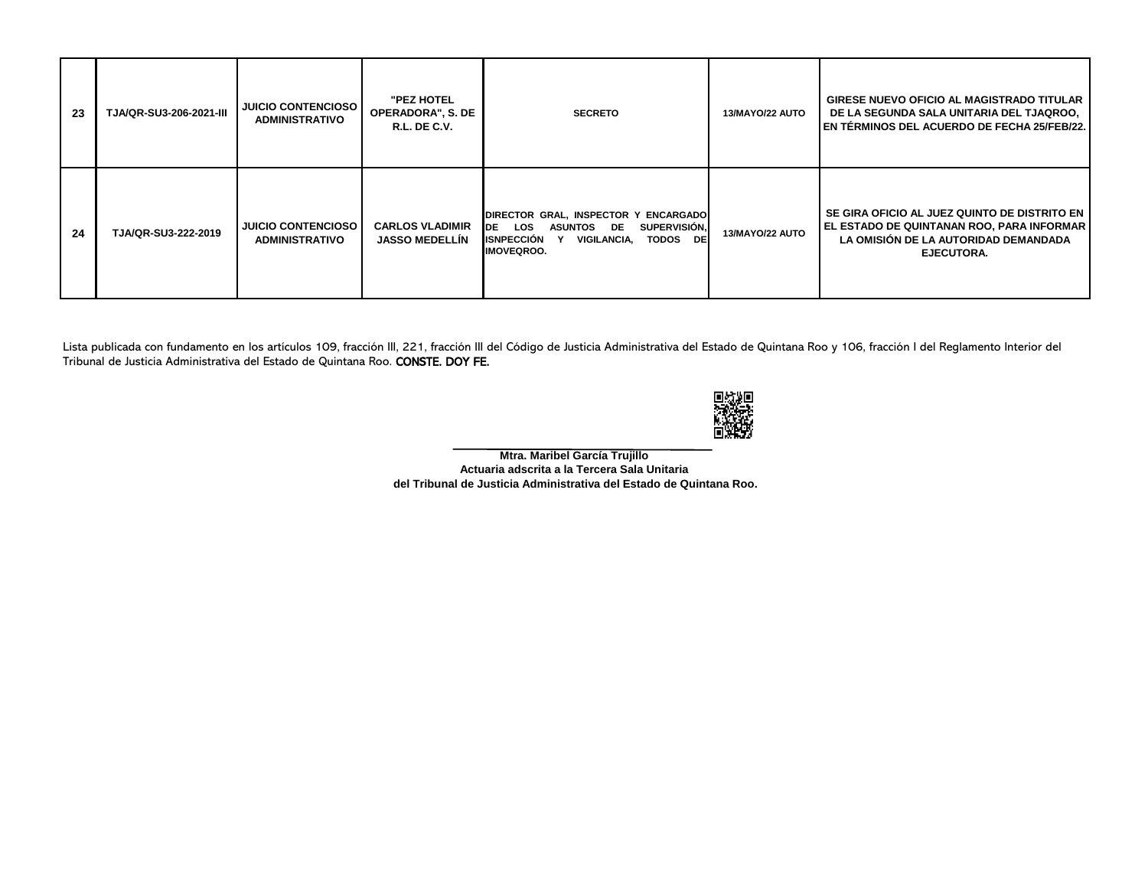| 23 | TJA/QR-SU3-206-2021-III | <b>JUICIO CONTENCIOSO</b><br><b>ADMINISTRATIVO</b> | "PEZ HOTEL<br><b>OPERADORA", S. DE</b><br><b>R.L. DE C.V.</b> | <b>SECRETO</b>                                                                                                                                                     | <b>13/MAYO/22 AUTO</b> | <b>GIRESE NUEVO OFICIO AL MAGISTRADO TITULAR</b><br>DE LA SEGUNDA SALA UNITARIA DEL TJAQROO,<br><b>EN TÉRMINOS DEL ACUERDO DE FECHA 25/FEB/22.</b>  |
|----|-------------------------|----------------------------------------------------|---------------------------------------------------------------|--------------------------------------------------------------------------------------------------------------------------------------------------------------------|------------------------|-----------------------------------------------------------------------------------------------------------------------------------------------------|
| 24 | TJA/QR-SU3-222-2019     | <b>JUICIO CONTENCIOSO</b><br><b>ADMINISTRATIVO</b> | <b>CARLOS VLADIMIR</b><br><b>JASSO MEDELLIN</b>               | DIRECTOR GRAL, INSPECTOR Y ENCARGADO<br>LOS<br><b>SUPERVISIÓN,</b><br>DE<br><b>ASUNTOS DE</b><br>TODOS DE<br><b>ISNPECCIÓN</b><br>VIGILANCIA,<br><b>IMOVEQROO.</b> | 13/MAYO/22 AUTO        | SE GIRA OFICIO AL JUEZ QUINTO DE DISTRITO EN I<br>EL ESTADO DE QUINTANAN ROO, PARA INFORMAR  <br>LA OMISIÓN DE LA AUTORIDAD DEMANDADA<br>EJECUTORA. |

Lista publicada con fundamento en los artículos 109, fracción III, 221, fracción III del Código de Justicia Administrativa del Estado de Quintana Roo y 106, fracción I del Reglamento Interior del Tribunal de Justicia Administrativa del Estado de Quintana Roo. CONSTE. DOY FE.



**Mtra. Maribel García Trujillo Actuaria adscrita a la Tercera Sala Unitaria del Tribunal de Justicia Administrativa del Estado de Quintana Roo.**